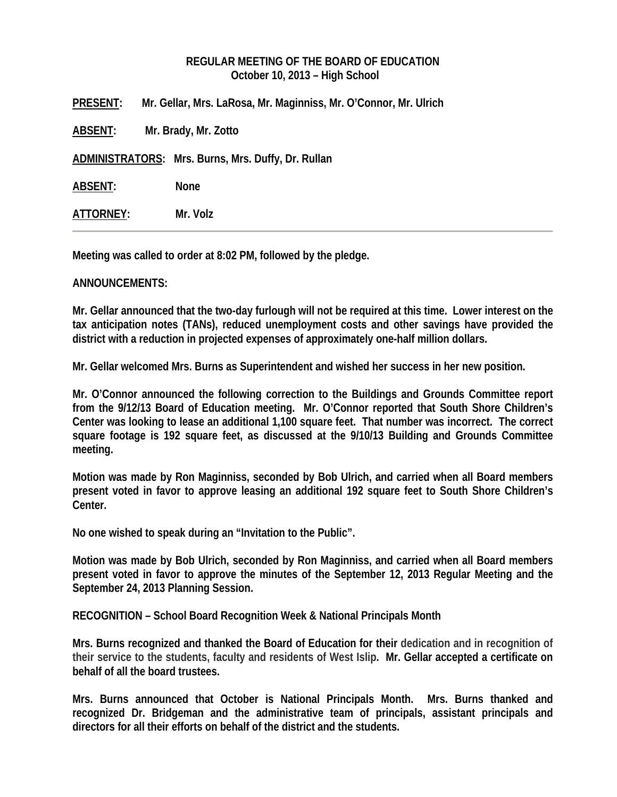# **REGULAR MEETING OF THE BOARD OF EDUCATION October 10, 2013 – High School**

| <b>PRESENT:</b> | Mr. Gellar, Mrs. LaRosa, Mr. Maginniss, Mr. O'Connor, Mr. Ulrich |
|-----------------|------------------------------------------------------------------|
| ABSENT:         | Mr. Brady, Mr. Zotto                                             |
|                 | ADMINISTRATORS: Mrs. Burns, Mrs. Duffy, Dr. Rullan               |
| ABSENT:         | <b>None</b>                                                      |
| ATTORNEY:       | Mr. Volz                                                         |

**Meeting was called to order at 8:02 PM, followed by the pledge.** 

### **ANNOUNCEMENTS:**

**Mr. Gellar announced that the two-day furlough will not be required at this time. Lower interest on the tax anticipation notes (TANs), reduced unemployment costs and other savings have provided the district with a reduction in projected expenses of approximately one-half million dollars.** 

**Mr. Gellar welcomed Mrs. Burns as Superintendent and wished her success in her new position.** 

**Mr. O'Connor announced the following correction to the Buildings and Grounds Committee report from the 9/12/13 Board of Education meeting. Mr. O'Connor reported that South Shore Children's Center was looking to lease an additional 1,100 square feet. That number was incorrect. The correct square footage is 192 square feet, as discussed at the 9/10/13 Building and Grounds Committee meeting.** 

**Motion was made by Ron Maginniss, seconded by Bob Ulrich, and carried when all Board members present voted in favor to approve leasing an additional 192 square feet to South Shore Children's Center.** 

**No one wished to speak during an "Invitation to the Public".** 

**Motion was made by Bob Ulrich, seconded by Ron Maginniss, and carried when all Board members present voted in favor to approve the minutes of the September 12, 2013 Regular Meeting and the September 24, 2013 Planning Session.** 

**RECOGNITION – School Board Recognition Week & National Principals Month** 

**Mrs. Burns recognized and thanked the Board of Education for their dedication and in recognition of their service to the students, faculty and residents of West Islip. Mr. Gellar accepted a certificate on behalf of all the board trustees.** 

**Mrs. Burns announced that October is National Principals Month. Mrs. Burns thanked and recognized Dr. Bridgeman and the administrative team of principals, assistant principals and directors for all their efforts on behalf of the district and the students.**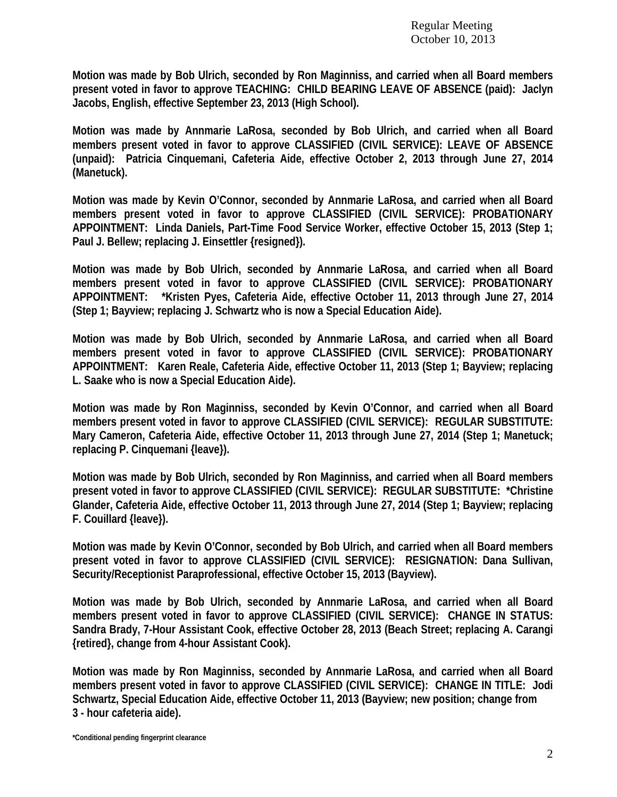**Motion was made by Bob Ulrich, seconded by Ron Maginniss, and carried when all Board members present voted in favor to approve TEACHING: CHILD BEARING LEAVE OF ABSENCE (paid): Jaclyn Jacobs, English, effective September 23, 2013 (High School).** 

**Motion was made by Annmarie LaRosa, seconded by Bob Ulrich, and carried when all Board members present voted in favor to approve CLASSIFIED (CIVIL SERVICE): LEAVE OF ABSENCE (unpaid): Patricia Cinquemani, Cafeteria Aide, effective October 2, 2013 through June 27, 2014 (Manetuck).** 

**Motion was made by Kevin O'Connor, seconded by Annmarie LaRosa, and carried when all Board members present voted in favor to approve CLASSIFIED (CIVIL SERVICE): PROBATIONARY APPOINTMENT: Linda Daniels, Part-Time Food Service Worker, effective October 15, 2013 (Step 1; Paul J. Bellew; replacing J. Einsettler {resigned}).** 

**Motion was made by Bob Ulrich, seconded by Annmarie LaRosa, and carried when all Board members present voted in favor to approve CLASSIFIED (CIVIL SERVICE): PROBATIONARY APPOINTMENT: \*Kristen Pyes, Cafeteria Aide, effective October 11, 2013 through June 27, 2014 (Step 1; Bayview; replacing J. Schwartz who is now a Special Education Aide).** 

**Motion was made by Bob Ulrich, seconded by Annmarie LaRosa, and carried when all Board members present voted in favor to approve CLASSIFIED (CIVIL SERVICE): PROBATIONARY APPOINTMENT: Karen Reale, Cafeteria Aide, effective October 11, 2013 (Step 1; Bayview; replacing L. Saake who is now a Special Education Aide).** 

**Motion was made by Ron Maginniss, seconded by Kevin O'Connor, and carried when all Board members present voted in favor to approve CLASSIFIED (CIVIL SERVICE): REGULAR SUBSTITUTE: Mary Cameron, Cafeteria Aide, effective October 11, 2013 through June 27, 2014 (Step 1; Manetuck; replacing P. Cinquemani {leave}).** 

**Motion was made by Bob Ulrich, seconded by Ron Maginniss, and carried when all Board members present voted in favor to approve CLASSIFIED (CIVIL SERVICE): REGULAR SUBSTITUTE: \*Christine Glander, Cafeteria Aide, effective October 11, 2013 through June 27, 2014 (Step 1; Bayview; replacing F. Couillard {leave}).** 

**Motion was made by Kevin O'Connor, seconded by Bob Ulrich, and carried when all Board members present voted in favor to approve CLASSIFIED (CIVIL SERVICE): RESIGNATION: Dana Sullivan, Security/Receptionist Paraprofessional, effective October 15, 2013 (Bayview).** 

**Motion was made by Bob Ulrich, seconded by Annmarie LaRosa, and carried when all Board members present voted in favor to approve CLASSIFIED (CIVIL SERVICE): CHANGE IN STATUS: Sandra Brady, 7-Hour Assistant Cook, effective October 28, 2013 (Beach Street; replacing A. Carangi {retired}, change from 4-hour Assistant Cook).** 

**Motion was made by Ron Maginniss, seconded by Annmarie LaRosa, and carried when all Board members present voted in favor to approve CLASSIFIED (CIVIL SERVICE): CHANGE IN TITLE: Jodi Schwartz, Special Education Aide, effective October 11, 2013 (Bayview; new position; change from 3 - hour cafeteria aide).**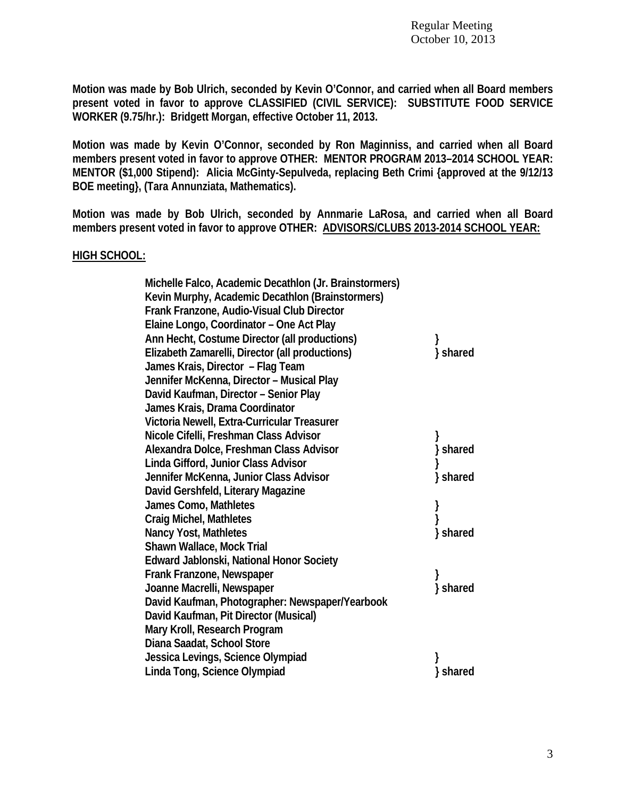**Motion was made by Bob Ulrich, seconded by Kevin O'Connor, and carried when all Board members present voted in favor to approve CLASSIFIED (CIVIL SERVICE): SUBSTITUTE FOOD SERVICE WORKER (9.75/hr.): Bridgett Morgan, effective October 11, 2013.** 

**Motion was made by Kevin O'Connor, seconded by Ron Maginniss, and carried when all Board members present voted in favor to approve OTHER: MENTOR PROGRAM 2013–2014 SCHOOL YEAR: MENTOR (\$1,000 Stipend): Alicia McGinty-Sepulveda, replacing Beth Crimi {approved at the 9/12/13 BOE meeting}, (Tara Annunziata, Mathematics).** 

**Motion was made by Bob Ulrich, seconded by Annmarie LaRosa, and carried when all Board members present voted in favor to approve OTHER: ADVISORS/CLUBS 2013-2014 SCHOOL YEAR:** 

### **HIGH SCHOOL:**

| Michelle Falco, Academic Decathlon (Jr. Brainstormers) |          |
|--------------------------------------------------------|----------|
| Kevin Murphy, Academic Decathlon (Brainstormers)       |          |
| Frank Franzone, Audio-Visual Club Director             |          |
| Elaine Longo, Coordinator - One Act Play               |          |
| Ann Hecht, Costume Director (all productions)          |          |
| Elizabeth Zamarelli, Director (all productions)        | } shared |
| James Krais, Director - Flag Team                      |          |
| Jennifer McKenna, Director - Musical Play              |          |
| David Kaufman, Director - Senior Play                  |          |
| James Krais, Drama Coordinator                         |          |
| Victoria Newell, Extra-Curricular Treasurer            |          |
| Nicole Cifelli, Freshman Class Advisor                 |          |
| Alexandra Dolce, Freshman Class Advisor                | } shared |
| Linda Gifford, Junior Class Advisor                    |          |
| Jennifer McKenna, Junior Class Advisor                 | } shared |
| David Gershfeld, Literary Magazine                     |          |
| James Como, Mathletes                                  |          |
| <b>Craig Michel, Mathletes</b>                         |          |
| <b>Nancy Yost, Mathletes</b>                           | } shared |
| Shawn Wallace, Mock Trial                              |          |
| Edward Jablonski, National Honor Society               |          |
| Frank Franzone, Newspaper                              |          |
| Joanne Macrelli, Newspaper                             | } shared |
| David Kaufman, Photographer: Newspaper/Yearbook        |          |
| David Kaufman, Pit Director (Musical)                  |          |
| Mary Kroll, Research Program                           |          |
| Diana Saadat, School Store                             |          |
| Jessica Levings, Science Olympiad                      |          |
| Linda Tong, Science Olympiad                           | shared   |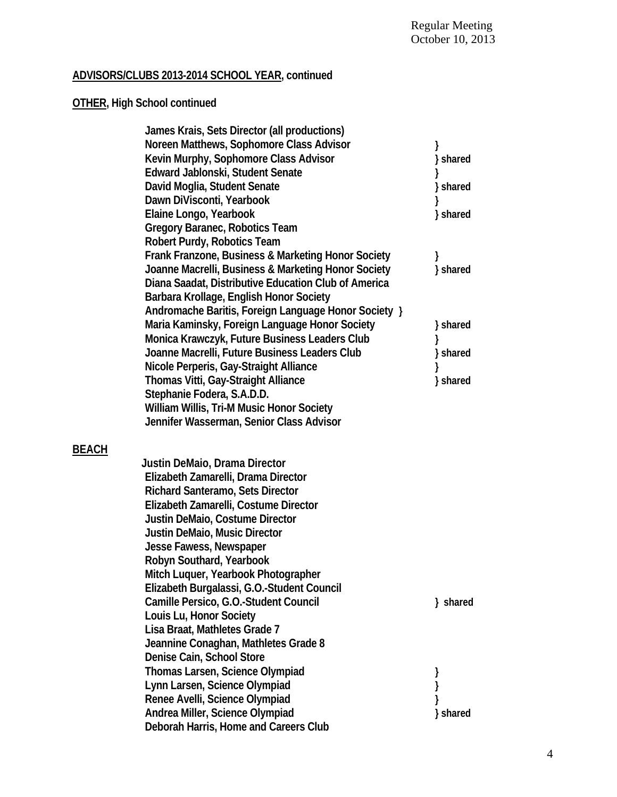# **ADVISORS/CLUBS 2013-2014 SCHOOL YEAR, continued**

# **OTHER, High School continued**

**BEACH** 

|       | James Krais, Sets Director (all productions)         |          |
|-------|------------------------------------------------------|----------|
|       | Noreen Matthews, Sophomore Class Advisor             |          |
|       | Kevin Murphy, Sophomore Class Advisor                | } shared |
|       | Edward Jablonski, Student Senate                     |          |
|       | David Moglia, Student Senate                         | } shared |
|       | Dawn DiVisconti, Yearbook                            |          |
|       | Elaine Longo, Yearbook                               | } shared |
|       | Gregory Baranec, Robotics Team                       |          |
|       | Robert Purdy, Robotics Team                          |          |
|       | Frank Franzone, Business & Marketing Honor Society   |          |
|       | Joanne Macrelli, Business & Marketing Honor Society  | } shared |
|       | Diana Saadat, Distributive Education Club of America |          |
|       | Barbara Krollage, English Honor Society              |          |
|       | Andromache Baritis, Foreign Language Honor Society } |          |
|       | Maria Kaminsky, Foreign Language Honor Society       | } shared |
|       | Monica Krawczyk, Future Business Leaders Club        |          |
|       | Joanne Macrelli, Future Business Leaders Club        | } shared |
|       | Nicole Perperis, Gay-Straight Alliance               |          |
|       | Thomas Vitti, Gay-Straight Alliance                  | } shared |
|       | Stephanie Fodera, S.A.D.D.                           |          |
|       | William Willis, Tri-M Music Honor Society            |          |
|       | Jennifer Wasserman, Senior Class Advisor             |          |
|       |                                                      |          |
| BEACH |                                                      |          |
|       | Justin DeMaio, Drama Director                        |          |
|       | Elizabeth Zamarelli, Drama Director                  |          |
|       | <b>Richard Santeramo, Sets Director</b>              |          |
|       | Elizabeth Zamarelli, Costume Director                |          |
|       | Justin DeMaio, Costume Director                      |          |
|       | Justin DeMaio, Music Director                        |          |
|       | Jesse Fawess, Newspaper                              |          |
|       | Robyn Southard, Yearbook                             |          |
|       | Mitch Luquer, Yearbook Photographer                  |          |
|       | Elizabeth Burgalassi, G.O.-Student Council           |          |
|       | Camille Persico, G.O.-Student Council                |          |
|       |                                                      | } shared |
|       | Louis Lu, Honor Society                              |          |
|       | Lisa Braat, Mathletes Grade 7                        |          |
|       | Jeannine Conaghan, Mathletes Grade 8                 |          |
|       | Denise Cain, School Store                            |          |
|       | Thomas Larsen, Science Olympiad                      |          |
|       | Lynn Larsen, Science Olympiad                        |          |
|       | Renee Avelli, Science Olympiad                       |          |
|       | Andrea Miller, Science Olympiad                      | } shared |
|       | Deborah Harris, Home and Careers Club                |          |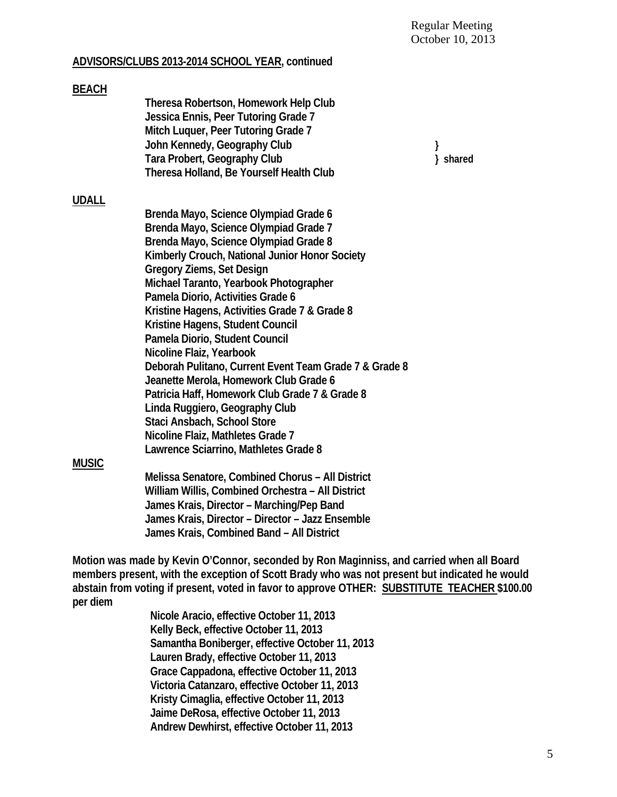# **ADVISORS/CLUBS 2013-2014 SCHOOL YEAR, continued**

| <b>BEACH</b> |                                                        |   |          |
|--------------|--------------------------------------------------------|---|----------|
|              | Theresa Robertson, Homework Help Club                  |   |          |
|              | Jessica Ennis, Peer Tutoring Grade 7                   |   |          |
|              | Mitch Luquer, Peer Tutoring Grade 7                    |   |          |
|              | John Kennedy, Geography Club                           | } |          |
|              | Tara Probert, Geography Club                           |   | } shared |
|              | Theresa Holland, Be Yourself Health Club               |   |          |
| <b>UDALL</b> |                                                        |   |          |
|              | Brenda Mayo, Science Olympiad Grade 6                  |   |          |
|              | Brenda Mayo, Science Olympiad Grade 7                  |   |          |
|              | Brenda Mayo, Science Olympiad Grade 8                  |   |          |
|              | Kimberly Crouch, National Junior Honor Society         |   |          |
|              | <b>Gregory Ziems, Set Design</b>                       |   |          |
|              | Michael Taranto, Yearbook Photographer                 |   |          |
|              | Pamela Diorio, Activities Grade 6                      |   |          |
|              | Kristine Hagens, Activities Grade 7 & Grade 8          |   |          |
|              | Kristine Hagens, Student Council                       |   |          |
|              | Pamela Diorio, Student Council                         |   |          |
|              | Nicoline Flaiz, Yearbook                               |   |          |
|              | Deborah Pulitano, Current Event Team Grade 7 & Grade 8 |   |          |
|              | Jeanette Merola, Homework Club Grade 6                 |   |          |
|              |                                                        |   |          |
|              | Patricia Haff, Homework Club Grade 7 & Grade 8         |   |          |
|              | Linda Ruggiero, Geography Club                         |   |          |
|              | Staci Ansbach, School Store                            |   |          |
|              | Nicoline Flaiz, Mathletes Grade 7                      |   |          |
|              | Lawrence Sciarrino, Mathletes Grade 8                  |   |          |
| <b>MUSIC</b> |                                                        |   |          |
|              | Melissa Senatore, Combined Chorus - All District       |   |          |
|              | William Willis, Combined Orchestra - All District      |   |          |
|              | James Krais, Director - Marching/Pep Band              |   |          |
|              | James Krais, Director - Director - Jazz Ensemble       |   |          |

**Motion was made by Kevin O'Connor, seconded by Ron Maginniss, and carried when all Board** 

**James Krais, Combined Band – All District** 

**members present, with the exception of Scott Brady who was not present but indicated he would abstain from voting if present, voted in favor to approve OTHER: SUBSTITUTE TEACHER \$100.00 per diem**

 **Nicole Aracio, effective October 11, 2013 Kelly Beck, effective October 11, 2013 Samantha Boniberger, effective October 11, 2013 Lauren Brady, effective October 11, 2013 Grace Cappadona, effective October 11, 2013 Victoria Catanzaro, effective October 11, 2013 Kristy Cimaglia, effective October 11, 2013 Jaime DeRosa, effective October 11, 2013 Andrew Dewhirst, effective October 11, 2013**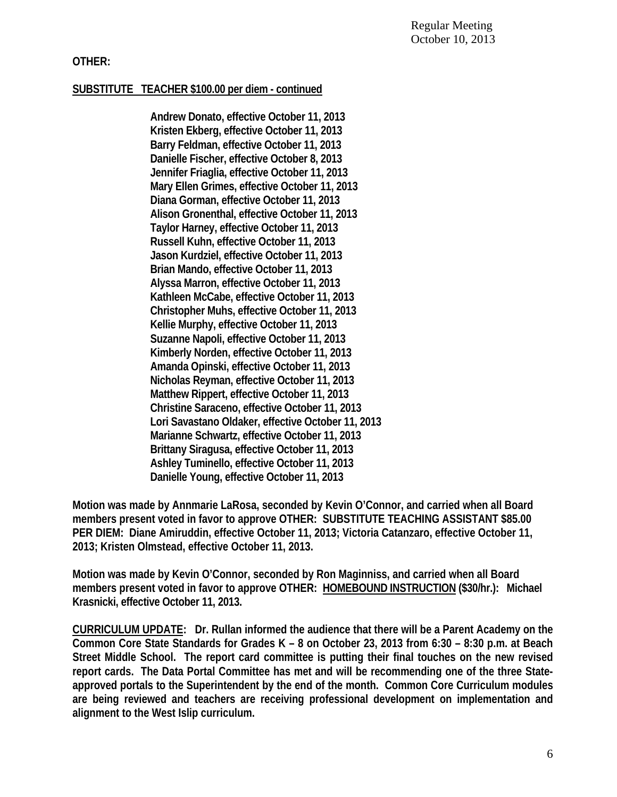# **OTHER:**

# **SUBSTITUTE TEACHER \$100.00 per diem - continued**

 **Andrew Donato, effective October 11, 2013 Kristen Ekberg, effective October 11, 2013 Barry Feldman, effective October 11, 2013 Danielle Fischer, effective October 8, 2013 Jennifer Friaglia, effective October 11, 2013 Mary Ellen Grimes, effective October 11, 2013 Diana Gorman, effective October 11, 2013 Alison Gronenthal, effective October 11, 2013 Taylor Harney, effective October 11, 2013 Russell Kuhn, effective October 11, 2013 Jason Kurdziel, effective October 11, 2013 Brian Mando, effective October 11, 2013 Alyssa Marron, effective October 11, 2013 Kathleen McCabe, effective October 11, 2013 Christopher Muhs, effective October 11, 2013 Kellie Murphy, effective October 11, 2013 Suzanne Napoli, effective October 11, 2013 Kimberly Norden, effective October 11, 2013 Amanda Opinski, effective October 11, 2013 Nicholas Reyman, effective October 11, 2013 Matthew Rippert, effective October 11, 2013 Christine Saraceno, effective October 11, 2013 Lori Savastano Oldaker, effective October 11, 2013 Marianne Schwartz, effective October 11, 2013 Brittany Siragusa, effective October 11, 2013 Ashley Tuminello, effective October 11, 2013 Danielle Young, effective October 11, 2013** 

**Motion was made by Annmarie LaRosa, seconded by Kevin O'Connor, and carried when all Board members present voted in favor to approve OTHER: SUBSTITUTE TEACHING ASSISTANT \$85.00 PER DIEM: Diane Amiruddin, effective October 11, 2013; Victoria Catanzaro, effective October 11, 2013; Kristen Olmstead, effective October 11, 2013.** 

**Motion was made by Kevin O'Connor, seconded by Ron Maginniss, and carried when all Board members present voted in favor to approve OTHER: HOMEBOUND INSTRUCTION (\$30/hr.): Michael Krasnicki, effective October 11, 2013.** 

**CURRICULUM UPDATE: Dr. Rullan informed the audience that there will be a Parent Academy on the Common Core State Standards for Grades K – 8 on October 23, 2013 from 6:30 – 8:30 p.m. at Beach Street Middle School. The report card committee is putting their final touches on the new revised report cards. The Data Portal Committee has met and will be recommending one of the three Stateapproved portals to the Superintendent by the end of the month. Common Core Curriculum modules are being reviewed and teachers are receiving professional development on implementation and alignment to the West Islip curriculum.**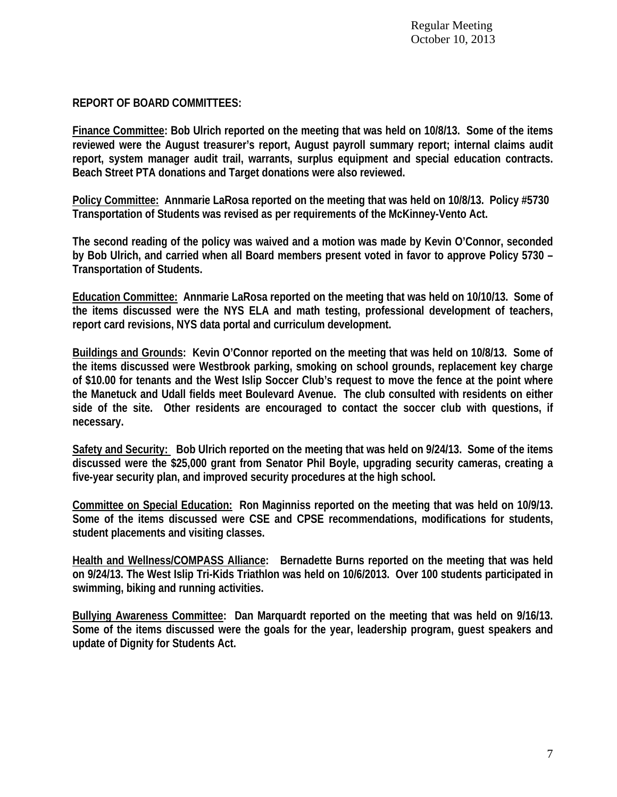# **REPORT OF BOARD COMMITTEES:**

**Finance Committee: Bob Ulrich reported on the meeting that was held on 10/8/13. Some of the items reviewed were the August treasurer's report, August payroll summary report; internal claims audit report, system manager audit trail, warrants, surplus equipment and special education contracts. Beach Street PTA donations and Target donations were also reviewed.** 

**Policy Committee: Annmarie LaRosa reported on the meeting that was held on 10/8/13. Policy #5730 Transportation of Students was revised as per requirements of the McKinney-Vento Act.** 

**The second reading of the policy was waived and a motion was made by Kevin O'Connor, seconded by Bob Ulrich, and carried when all Board members present voted in favor to approve Policy 5730 – Transportation of Students.** 

**Education Committee: Annmarie LaRosa reported on the meeting that was held on 10/10/13. Some of the items discussed were the NYS ELA and math testing, professional development of teachers, report card revisions, NYS data portal and curriculum development.** 

**Buildings and Grounds: Kevin O'Connor reported on the meeting that was held on 10/8/13. Some of the items discussed were Westbrook parking, smoking on school grounds, replacement key charge of \$10.00 for tenants and the West Islip Soccer Club's request to move the fence at the point where the Manetuck and Udall fields meet Boulevard Avenue. The club consulted with residents on either side of the site. Other residents are encouraged to contact the soccer club with questions, if necessary.** 

**Safety and Security: Bob Ulrich reported on the meeting that was held on 9/24/13. Some of the items discussed were the \$25,000 grant from Senator Phil Boyle, upgrading security cameras, creating a five-year security plan, and improved security procedures at the high school.** 

**Committee on Special Education: Ron Maginniss reported on the meeting that was held on 10/9/13. Some of the items discussed were CSE and CPSE recommendations, modifications for students, student placements and visiting classes.** 

**Health and Wellness/COMPASS Alliance: Bernadette Burns reported on the meeting that was held on 9/24/13. The West Islip Tri-Kids Triathlon was held on 10/6/2013. Over 100 students participated in swimming, biking and running activities.** 

**Bullying Awareness Committee: Dan Marquardt reported on the meeting that was held on 9/16/13. Some of the items discussed were the goals for the year, leadership program, guest speakers and update of Dignity for Students Act.**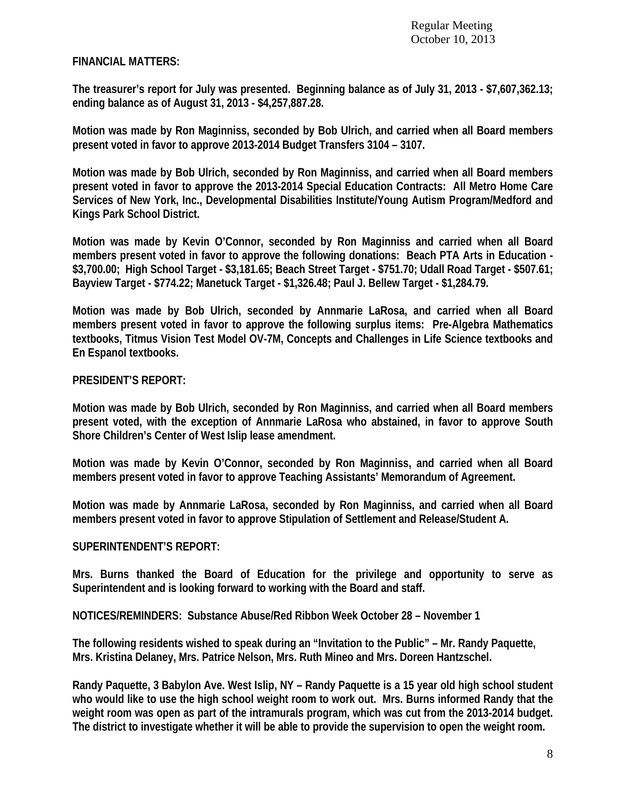Regular Meeting October 10, 2013

### **FINANCIAL MATTERS:**

**The treasurer's report for July was presented. Beginning balance as of July 31, 2013 - \$7,607,362.13; ending balance as of August 31, 2013 - \$4,257,887.28.** 

**Motion was made by Ron Maginniss, seconded by Bob Ulrich, and carried when all Board members present voted in favor to approve 2013-2014 Budget Transfers 3104 – 3107.** 

**Motion was made by Bob Ulrich, seconded by Ron Maginniss, and carried when all Board members present voted in favor to approve the 2013-2014 Special Education Contracts: All Metro Home Care Services of New York, Inc., Developmental Disabilities Institute/Young Autism Program/Medford and Kings Park School District.** 

**Motion was made by Kevin O'Connor, seconded by Ron Maginniss and carried when all Board members present voted in favor to approve the following donations: Beach PTA Arts in Education - \$3,700.00; High School Target - \$3,181.65; Beach Street Target - \$751.70; Udall Road Target - \$507.61; Bayview Target - \$774.22; Manetuck Target - \$1,326.48; Paul J. Bellew Target - \$1,284.79.** 

**Motion was made by Bob Ulrich, seconded by Annmarie LaRosa, and carried when all Board members present voted in favor to approve the following surplus items: Pre-Algebra Mathematics textbooks, Titmus Vision Test Model OV-7M, Concepts and Challenges in Life Science textbooks and En Espanol textbooks.** 

#### **PRESIDENT'S REPORT:**

**Motion was made by Bob Ulrich, seconded by Ron Maginniss, and carried when all Board members present voted, with the exception of Annmarie LaRosa who abstained, in favor to approve South Shore Children's Center of West Islip lease amendment.** 

**Motion was made by Kevin O'Connor, seconded by Ron Maginniss, and carried when all Board members present voted in favor to approve Teaching Assistants' Memorandum of Agreement.** 

**Motion was made by Annmarie LaRosa, seconded by Ron Maginniss, and carried when all Board members present voted in favor to approve Stipulation of Settlement and Release/Student A.** 

### **SUPERINTENDENT'S REPORT:**

**Mrs. Burns thanked the Board of Education for the privilege and opportunity to serve as Superintendent and is looking forward to working with the Board and staff.** 

**NOTICES/REMINDERS: Substance Abuse/Red Ribbon Week October 28 – November 1** 

**The following residents wished to speak during an "Invitation to the Public" – Mr. Randy Paquette, Mrs. Kristina Delaney, Mrs. Patrice Nelson, Mrs. Ruth Mineo and Mrs. Doreen Hantzschel.** 

**Randy Paquette, 3 Babylon Ave. West Islip, NY – Randy Paquette is a 15 year old high school student who would like to use the high school weight room to work out. Mrs. Burns informed Randy that the weight room was open as part of the intramurals program, which was cut from the 2013-2014 budget. The district to investigate whether it will be able to provide the supervision to open the weight room.**